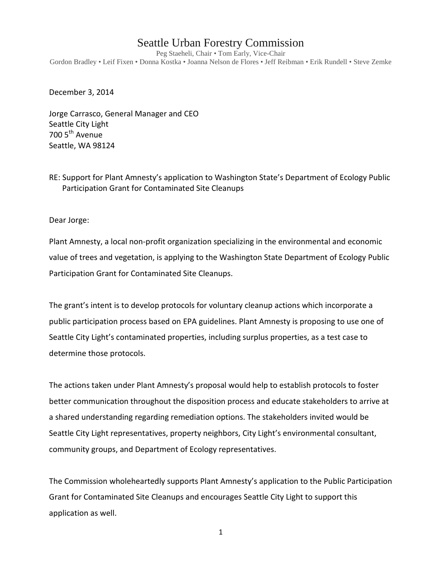## Seattle Urban Forestry Commission

Peg Staeheli, Chair • Tom Early, Vice-Chair Gordon Bradley • Leif Fixen • Donna Kostka • Joanna Nelson de Flores • Jeff Reibman • Erik Rundell • Steve Zemke

December 3, 2014

Jorge Carrasco, General Manager and CEO Seattle City Light 700 5<sup>th</sup> Avenue Seattle, WA 98124

RE: Support for Plant Amnesty's application to Washington State's Department of Ecology Public Participation Grant for Contaminated Site Cleanups

Dear Jorge:

Plant Amnesty, a local non-profit organization specializing in the environmental and economic value of trees and vegetation, is applying to the Washington State Department of Ecology Public Participation Grant for Contaminated Site Cleanups.

The grant's intent is to develop protocols for voluntary cleanup actions which incorporate a public participation process based on EPA guidelines. Plant Amnesty is proposing to use one of Seattle City Light's contaminated properties, including surplus properties, as a test case to determine those protocols.

The actions taken under Plant Amnesty's proposal would help to establish protocols to foster better communication throughout the disposition process and educate stakeholders to arrive at a shared understanding regarding remediation options. The stakeholders invited would be Seattle City Light representatives, property neighbors, City Light's environmental consultant, community groups, and Department of Ecology representatives.

The Commission wholeheartedly supports Plant Amnesty's application to the Public Participation Grant for Contaminated Site Cleanups and encourages Seattle City Light to support this application as well.

1